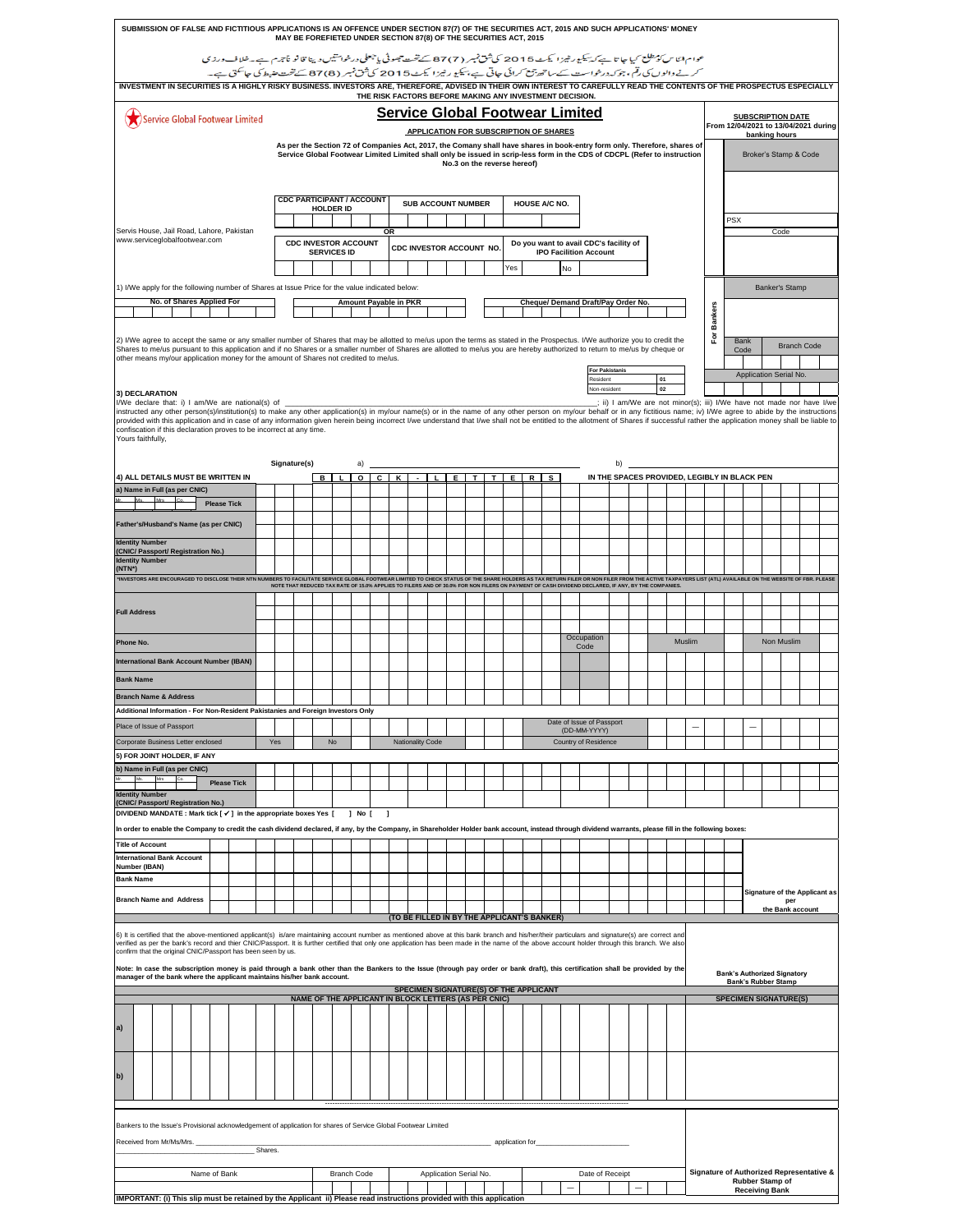|                                                                                                                                                                                                                                                                                                                                                                                                                                                                     | SUBMISSION OF FALSE AND FICTITIOUS APPLICATIONS IS AN OFFENCE UNDER SECTION 87(7) OF THE SECURITIES ACT, 2015 AND SUCH APPLICATIONS' MONEY<br>MAY BE FOREFIETED UNDER SECTION 87(8) OF THE SECURITIES ACT, 2015 |                           |              |                    |                                 |  |     |                                                      |   |                    |                       |            |                          |                  |  |                             |  |                                                                         |                                                         |  |  |                                                                                                                                          |    |  |          |  |        |                |  |                            |                                                                       |  |  |
|---------------------------------------------------------------------------------------------------------------------------------------------------------------------------------------------------------------------------------------------------------------------------------------------------------------------------------------------------------------------------------------------------------------------------------------------------------------------|-----------------------------------------------------------------------------------------------------------------------------------------------------------------------------------------------------------------|---------------------------|--------------|--------------------|---------------------------------|--|-----|------------------------------------------------------|---|--------------------|-----------------------|------------|--------------------------|------------------|--|-----------------------------|--|-------------------------------------------------------------------------|---------------------------------------------------------|--|--|------------------------------------------------------------------------------------------------------------------------------------------|----|--|----------|--|--------|----------------|--|----------------------------|-----------------------------------------------------------------------|--|--|
|                                                                                                                                                                                                                                                                                                                                                                                                                                                                     |                                                                                                                                                                                                                 |                           |              |                    |                                 |  |     |                                                      |   |                    |                       |            |                          |                  |  |                             |  |                                                                         |                                                         |  |  | عوام ابّاس كومطلع كيا جا تا ہے كہ بيكبور طيرًا كيكٹ 2015 كى ثق نمبر ( 7) 87 كے تحت جھوٹى يا جعلى درخوا تنيس دينا قانو نأجرم ہے۔خلاف ورزي |    |  |          |  |        |                |  |                            |                                                                       |  |  |
| INVESTMENT IN SECURITIES IS A HIGHLY RISKY BUSINESS. INVESTORS ARE, THEREFORE, ADVISED IN THEIR OWN INTEREST TO CAREFULLY READ THE CONTENTS OF THE PROSPECTUS ESPECIALLY                                                                                                                                                                                                                                                                                            |                                                                                                                                                                                                                 |                           |              |                    |                                 |  |     |                                                      |   |                    |                       |            |                          |                  |  |                             |  |                                                                         |                                                         |  |  | کرنے والوں کی رقم، جو کہ درخواست کے ساتھ پتی کرائی جاتی ہے، بیکیو رطیز ایکٹ 2015 کی ثق نمبر (87(8) تحقیقہ ضیط کی جاسکتی ہے۔              |    |  |          |  |        |                |  |                            |                                                                       |  |  |
|                                                                                                                                                                                                                                                                                                                                                                                                                                                                     |                                                                                                                                                                                                                 |                           |              |                    |                                 |  |     |                                                      |   |                    |                       |            |                          |                  |  |                             |  |                                                                         | THE RISK FACTORS BEFORE MAKING ANY INVESTMENT DECISION. |  |  |                                                                                                                                          |    |  |          |  |        |                |  |                            |                                                                       |  |  |
|                                                                                                                                                                                                                                                                                                                                                                                                                                                                     |                                                                                                                                                                                                                 |                           |              |                    | Service Global Footwear Limited |  |     |                                                      |   |                    |                       |            |                          |                  |  |                             |  |                                                                         |                                                         |  |  | <b>Service Global Footwear Limited</b>                                                                                                   |    |  |          |  |        |                |  |                            | <b>SUBSCRIPTION DATE</b><br>From 12/04/2021 to 13/04/2021 during      |  |  |
| <b>APPLICATION FOR SUBSCRIPTION OF SHARES</b><br>banking hours<br>As per the Section 72 of Companies Act, 2017, the Comany shall have shares in book-entry form only. Therefore, shares of<br>Service Global Footwear Limited Limited shall only be issued in scrip-less form in the CDS of CDCPL (Refer to instruction                                                                                                                                             |                                                                                                                                                                                                                 |                           |              |                    |                                 |  |     |                                                      |   |                    |                       |            |                          |                  |  |                             |  |                                                                         |                                                         |  |  |                                                                                                                                          |    |  |          |  |        |                |  |                            |                                                                       |  |  |
|                                                                                                                                                                                                                                                                                                                                                                                                                                                                     |                                                                                                                                                                                                                 |                           |              |                    |                                 |  |     |                                                      |   |                    |                       |            |                          |                  |  | No.3 on the reverse hereof) |  |                                                                         |                                                         |  |  |                                                                                                                                          |    |  |          |  |        |                |  |                            | Broker's Stamp & Code                                                 |  |  |
|                                                                                                                                                                                                                                                                                                                                                                                                                                                                     |                                                                                                                                                                                                                 |                           |              |                    |                                 |  |     |                                                      |   |                    |                       |            |                          |                  |  |                             |  |                                                                         |                                                         |  |  |                                                                                                                                          |    |  |          |  |        |                |  |                            |                                                                       |  |  |
|                                                                                                                                                                                                                                                                                                                                                                                                                                                                     | <b>CDC PARTICIPANT / ACCOUNT</b><br><b>SUB ACCOUNT NUMBER</b><br>HOUSE A/C NO.<br><b>HOLDER ID</b>                                                                                                              |                           |              |                    |                                 |  |     |                                                      |   |                    |                       |            |                          |                  |  |                             |  |                                                                         |                                                         |  |  |                                                                                                                                          |    |  |          |  |        |                |  |                            |                                                                       |  |  |
| Servis House, Jail Road, Lahore, Pakistan<br><b>OR</b>                                                                                                                                                                                                                                                                                                                                                                                                              |                                                                                                                                                                                                                 |                           |              |                    |                                 |  |     |                                                      |   |                    |                       | <b>PSX</b> |                          | Code             |  |                             |  |                                                                         |                                                         |  |  |                                                                                                                                          |    |  |          |  |        |                |  |                            |                                                                       |  |  |
| www.serviceglobalfootwear.com                                                                                                                                                                                                                                                                                                                                                                                                                                       |                                                                                                                                                                                                                 |                           |              |                    |                                 |  |     | <b>CDC INVESTOR ACCOUNT</b>                          |   | <b>SERVICES ID</b> |                       |            | CDC INVESTOR ACCOUNT NO. |                  |  |                             |  | Do you want to avail CDC's facility of<br><b>IPO Facilition Account</b> |                                                         |  |  |                                                                                                                                          |    |  |          |  |        |                |  |                            |                                                                       |  |  |
| Yes<br>No                                                                                                                                                                                                                                                                                                                                                                                                                                                           |                                                                                                                                                                                                                 |                           |              |                    |                                 |  |     |                                                      |   |                    |                       |            |                          |                  |  |                             |  |                                                                         |                                                         |  |  |                                                                                                                                          |    |  |          |  |        |                |  |                            |                                                                       |  |  |
|                                                                                                                                                                                                                                                                                                                                                                                                                                                                     | 1) I/We apply for the following number of Shares at Issue Price for the value indicated below:<br><b>Banker's Stamp</b>                                                                                         |                           |              |                    |                                 |  |     |                                                      |   |                    |                       |            |                          |                  |  |                             |  |                                                                         |                                                         |  |  |                                                                                                                                          |    |  |          |  |        |                |  |                            |                                                                       |  |  |
|                                                                                                                                                                                                                                                                                                                                                                                                                                                                     |                                                                                                                                                                                                                 | No. of Shares Applied For |              |                    |                                 |  |     |                                                      |   |                    | Amount Payable in PKR |            |                          |                  |  |                             |  |                                                                         |                                                         |  |  | Cheque/ Demand Draft/Pay Order No.                                                                                                       |    |  |          |  |        | <b>Bankers</b> |  |                            |                                                                       |  |  |
|                                                                                                                                                                                                                                                                                                                                                                                                                                                                     |                                                                                                                                                                                                                 |                           |              |                    |                                 |  |     |                                                      |   |                    |                       |            |                          |                  |  |                             |  |                                                                         |                                                         |  |  |                                                                                                                                          |    |  |          |  |        |                |  |                            |                                                                       |  |  |
| 2) I/We agree to accept the same or any smaller number of Shares that may be allotted to me/us upon the terms as stated in the Prospectus. I/We authorize you to credit the<br>Shares to me/us pursuant to this application and if no Shares or a smaller number of Shares are allotted to me/us you are hereby authorized to return to me/us by cheque or                                                                                                          |                                                                                                                                                                                                                 |                           |              |                    |                                 |  |     |                                                      |   |                    |                       |            |                          |                  |  |                             |  |                                                                         |                                                         |  |  |                                                                                                                                          |    |  |          |  |        | ۴ŏ             |  | <b>Bank</b><br>Code        | <b>Branch Code</b>                                                    |  |  |
| other means my/our application money for the amount of Shares not credited to me/us.                                                                                                                                                                                                                                                                                                                                                                                |                                                                                                                                                                                                                 |                           |              |                    |                                 |  |     |                                                      |   |                    |                       |            |                          |                  |  |                             |  |                                                                         |                                                         |  |  | <b>For Pakistanis</b>                                                                                                                    |    |  |          |  |        |                |  |                            | Application Serial No.                                                |  |  |
| 3) DECLARATION                                                                                                                                                                                                                                                                                                                                                                                                                                                      |                                                                                                                                                                                                                 |                           |              |                    |                                 |  |     |                                                      |   |                    |                       |            |                          |                  |  |                             |  |                                                                         |                                                         |  |  | Resident<br>Non-resident                                                                                                                 |    |  | 01<br>02 |  |        |                |  |                            |                                                                       |  |  |
| I/We declare that: i) I am/We are national(s) of _<br>instructed any other person(s)/institution(s) to make any other application(s) in my/our name(s) or in the name of any other person on my/our behalf or in any fictitious name; iv) I/We agree to abide by the instructions                                                                                                                                                                                   |                                                                                                                                                                                                                 |                           |              |                    |                                 |  |     |                                                      |   |                    |                       |            |                          |                  |  |                             |  |                                                                         |                                                         |  |  |                                                                                                                                          |    |  |          |  |        |                |  |                            | : ii) I am/We are not minor(s); iii) I/We have not made nor have I/we |  |  |
| provided with this application and in case of any information given herein being incorrect I/we understand that I/we shall not be entitled to the allotment of Shares if successful rather the application money shall be liab<br>confiscation if this declaration proves to be incorrect at any time.<br>Yours faithfully,                                                                                                                                         |                                                                                                                                                                                                                 |                           |              |                    |                                 |  |     |                                                      |   |                    |                       |            |                          |                  |  |                             |  |                                                                         |                                                         |  |  |                                                                                                                                          |    |  |          |  |        |                |  |                            |                                                                       |  |  |
|                                                                                                                                                                                                                                                                                                                                                                                                                                                                     |                                                                                                                                                                                                                 |                           |              |                    |                                 |  |     |                                                      |   |                    |                       |            |                          |                  |  |                             |  |                                                                         |                                                         |  |  |                                                                                                                                          |    |  |          |  |        |                |  |                            |                                                                       |  |  |
| 4) ALL DETAILS MUST BE WRITTEN IN                                                                                                                                                                                                                                                                                                                                                                                                                                   |                                                                                                                                                                                                                 |                           |              |                    |                                 |  |     | Signature(s)                                         | в |                    | a)                    |            | $O$ $C$ $K$              | $-11$            |  |                             |  |                                                                         | EITITIEIRS                                              |  |  | IN THE SPACES PROVIDED, LEGIBLY IN BLACK PEN                                                                                             | b) |  |          |  |        |                |  |                            |                                                                       |  |  |
| a) Name in Full (as per CNIC)<br>Ms.                                                                                                                                                                                                                                                                                                                                                                                                                                | <b>Mrs</b>                                                                                                                                                                                                      |                           |              |                    |                                 |  |     |                                                      |   |                    |                       |            |                          |                  |  |                             |  |                                                                         |                                                         |  |  |                                                                                                                                          |    |  |          |  |        |                |  |                            |                                                                       |  |  |
|                                                                                                                                                                                                                                                                                                                                                                                                                                                                     |                                                                                                                                                                                                                 |                           |              | <b>Please Tick</b> |                                 |  |     |                                                      |   |                    |                       |            |                          |                  |  |                             |  |                                                                         |                                                         |  |  |                                                                                                                                          |    |  |          |  |        |                |  |                            |                                                                       |  |  |
| Father's/Husband's Name (as per CNIC)                                                                                                                                                                                                                                                                                                                                                                                                                               |                                                                                                                                                                                                                 |                           |              |                    |                                 |  |     |                                                      |   |                    |                       |            |                          |                  |  |                             |  |                                                                         |                                                         |  |  |                                                                                                                                          |    |  |          |  |        |                |  |                            |                                                                       |  |  |
| <b>Identity Number</b><br>(CNIC/ Passport/ Registration No.)<br><b>Identity Number</b>                                                                                                                                                                                                                                                                                                                                                                              |                                                                                                                                                                                                                 |                           |              |                    |                                 |  |     |                                                      |   |                    |                       |            |                          |                  |  |                             |  |                                                                         |                                                         |  |  |                                                                                                                                          |    |  |          |  |        |                |  |                            |                                                                       |  |  |
| (NTN*)<br>'INVESTORS ARE ENCOURAGED TO INSCLOSE THER NTN HUMBERS ONE AND THE WAS DRIVEN TO THE SAME OF THE SHARE HOLDERS AS TAX RETURN FILES ON DUE THE AFROW THE ACTIVE TAX AVAILABLE ON THE VIOLENCE OF THE VEBSITE OF ERR. PLEASE<br>A S                                                                                                                                                                                                                         |                                                                                                                                                                                                                 |                           |              |                    |                                 |  |     |                                                      |   |                    |                       |            |                          |                  |  |                             |  |                                                                         |                                                         |  |  |                                                                                                                                          |    |  |          |  |        |                |  |                            |                                                                       |  |  |
|                                                                                                                                                                                                                                                                                                                                                                                                                                                                     |                                                                                                                                                                                                                 |                           |              |                    |                                 |  |     |                                                      |   |                    |                       |            |                          |                  |  |                             |  |                                                                         |                                                         |  |  |                                                                                                                                          |    |  |          |  |        |                |  |                            |                                                                       |  |  |
| <b>Full Address</b>                                                                                                                                                                                                                                                                                                                                                                                                                                                 |                                                                                                                                                                                                                 |                           |              |                    |                                 |  |     |                                                      |   |                    |                       |            |                          |                  |  |                             |  |                                                                         |                                                         |  |  |                                                                                                                                          |    |  |          |  |        |                |  |                            |                                                                       |  |  |
| Phone No.                                                                                                                                                                                                                                                                                                                                                                                                                                                           |                                                                                                                                                                                                                 |                           |              |                    |                                 |  |     |                                                      |   |                    |                       |            |                          |                  |  |                             |  |                                                                         |                                                         |  |  | Occupation                                                                                                                               |    |  |          |  | Muslim |                |  |                            | Non Muslim                                                            |  |  |
| International Bank Account Number (IBAN)                                                                                                                                                                                                                                                                                                                                                                                                                            |                                                                                                                                                                                                                 |                           |              |                    |                                 |  |     |                                                      |   |                    |                       |            |                          |                  |  |                             |  |                                                                         |                                                         |  |  | Code                                                                                                                                     |    |  |          |  |        |                |  |                            |                                                                       |  |  |
| <b>Bank Name</b>                                                                                                                                                                                                                                                                                                                                                                                                                                                    |                                                                                                                                                                                                                 |                           |              |                    |                                 |  |     |                                                      |   |                    |                       |            |                          |                  |  |                             |  |                                                                         |                                                         |  |  |                                                                                                                                          |    |  |          |  |        |                |  |                            |                                                                       |  |  |
| <b>Branch Name &amp; Address</b>                                                                                                                                                                                                                                                                                                                                                                                                                                    |                                                                                                                                                                                                                 |                           |              |                    |                                 |  |     |                                                      |   |                    |                       |            |                          |                  |  |                             |  |                                                                         |                                                         |  |  |                                                                                                                                          |    |  |          |  |        |                |  |                            |                                                                       |  |  |
| Additional Information - For Non-Resident Pakistanies and Foreign Investors Only                                                                                                                                                                                                                                                                                                                                                                                    |                                                                                                                                                                                                                 |                           |              |                    |                                 |  |     |                                                      |   |                    |                       |            |                          |                  |  |                             |  |                                                                         |                                                         |  |  | : ul Pass                                                                                                                                |    |  |          |  |        |                |  |                            |                                                                       |  |  |
| Place of Issue of Passport<br>Corporate Business Letter enclosed                                                                                                                                                                                                                                                                                                                                                                                                    |                                                                                                                                                                                                                 |                           |              |                    |                                 |  | Yes |                                                      |   | No                 |                       |            |                          | Nationality Code |  |                             |  |                                                                         |                                                         |  |  | (DD-MM-YYYY)<br>Country of Residence                                                                                                     |    |  |          |  |        |                |  |                            |                                                                       |  |  |
| 5) FOR JOINT HOLDER, IF ANY                                                                                                                                                                                                                                                                                                                                                                                                                                         |                                                                                                                                                                                                                 |                           |              |                    |                                 |  |     |                                                      |   |                    |                       |            |                          |                  |  |                             |  |                                                                         |                                                         |  |  |                                                                                                                                          |    |  |          |  |        |                |  |                            |                                                                       |  |  |
| b) Name in Full (as per CNIC)                                                                                                                                                                                                                                                                                                                                                                                                                                       |                                                                                                                                                                                                                 |                           |              | <b>Please Tick</b> |                                 |  |     |                                                      |   |                    |                       |            |                          |                  |  |                             |  |                                                                         |                                                         |  |  |                                                                                                                                          |    |  |          |  |        |                |  |                            |                                                                       |  |  |
| <b>Identity Number</b><br>(CNIC/ Passport/ Registration No.)                                                                                                                                                                                                                                                                                                                                                                                                        |                                                                                                                                                                                                                 |                           |              |                    |                                 |  |     |                                                      |   |                    |                       |            |                          |                  |  |                             |  |                                                                         |                                                         |  |  |                                                                                                                                          |    |  |          |  |        |                |  |                            |                                                                       |  |  |
| DIVIDEND MANDATE : Mark tick [√] in the appropriate boxes Yes [                                                                                                                                                                                                                                                                                                                                                                                                     |                                                                                                                                                                                                                 |                           |              |                    |                                 |  |     |                                                      |   |                    | $1$ No $1$            |            |                          |                  |  |                             |  |                                                                         |                                                         |  |  |                                                                                                                                          |    |  |          |  |        |                |  |                            |                                                                       |  |  |
| In order to enable the Company to credit the cash dividend declared, if any, by the Company, in Shareholder Holder bank account, instead through dividend warrants, please fill in the following boxes:<br><b>Title of Account</b>                                                                                                                                                                                                                                  |                                                                                                                                                                                                                 |                           |              |                    |                                 |  |     |                                                      |   |                    |                       |            |                          |                  |  |                             |  |                                                                         |                                                         |  |  |                                                                                                                                          |    |  |          |  |        |                |  |                            |                                                                       |  |  |
| <b>International Bank Account</b><br>Number (IBAN)                                                                                                                                                                                                                                                                                                                                                                                                                  |                                                                                                                                                                                                                 |                           |              |                    |                                 |  |     |                                                      |   |                    |                       |            |                          |                  |  |                             |  |                                                                         |                                                         |  |  |                                                                                                                                          |    |  |          |  |        |                |  |                            |                                                                       |  |  |
| <b>Bank Name</b>                                                                                                                                                                                                                                                                                                                                                                                                                                                    |                                                                                                                                                                                                                 |                           |              |                    |                                 |  |     |                                                      |   |                    |                       |            |                          |                  |  |                             |  |                                                                         |                                                         |  |  |                                                                                                                                          |    |  |          |  |        |                |  |                            |                                                                       |  |  |
| <b>Branch Name and Address</b>                                                                                                                                                                                                                                                                                                                                                                                                                                      |                                                                                                                                                                                                                 |                           |              |                    |                                 |  |     |                                                      |   |                    |                       |            |                          |                  |  |                             |  |                                                                         |                                                         |  |  |                                                                                                                                          |    |  |          |  |        |                |  |                            | Signature of the Applicant as<br>per<br>the Bank account              |  |  |
|                                                                                                                                                                                                                                                                                                                                                                                                                                                                     |                                                                                                                                                                                                                 |                           |              |                    |                                 |  |     |                                                      |   |                    |                       |            |                          |                  |  |                             |  |                                                                         | (TO BE FILLED IN BY THE APPLICANT'S BANKER)             |  |  |                                                                                                                                          |    |  |          |  |        |                |  |                            |                                                                       |  |  |
| 6) It is certified that the above-mentioned applicant(s) is/are maintaining account number as mentioned above at this bank branch and his/her/their particulars and signature(s) are correct and<br>verified as per the bank's record and thier CNIC/Passport. It is further certified that only one application has been made in the name of the above account holder through this branch. We also<br>confirm that the original CNIC/Passport has been seen by us. |                                                                                                                                                                                                                 |                           |              |                    |                                 |  |     |                                                      |   |                    |                       |            |                          |                  |  |                             |  |                                                                         |                                                         |  |  |                                                                                                                                          |    |  |          |  |        |                |  |                            |                                                                       |  |  |
| Note: In case the subscription money is paid through a bank other than the Bankers to the Issue (through pay order or bank draft), this certification shall be provided by the                                                                                                                                                                                                                                                                                      |                                                                                                                                                                                                                 |                           |              |                    |                                 |  |     |                                                      |   |                    |                       |            |                          |                  |  |                             |  |                                                                         |                                                         |  |  |                                                                                                                                          |    |  |          |  |        |                |  |                            |                                                                       |  |  |
| manager of the bank where the applicant maintains his/her bank account.                                                                                                                                                                                                                                                                                                                                                                                             |                                                                                                                                                                                                                 |                           |              |                    |                                 |  |     |                                                      |   |                    |                       |            |                          |                  |  |                             |  |                                                                         | SPECIMEN SIGNATURE(S) OF THE APPLICANT                  |  |  |                                                                                                                                          |    |  |          |  |        |                |  | <b>Bank's Rubber Stamp</b> | <b>Bank's Authorized Signatory</b>                                    |  |  |
|                                                                                                                                                                                                                                                                                                                                                                                                                                                                     |                                                                                                                                                                                                                 |                           |              |                    |                                 |  |     | NAME OF THE APPLICANT IN BLOCK LETTERS (AS PER CNIC) |   |                    |                       |            |                          |                  |  |                             |  |                                                                         |                                                         |  |  |                                                                                                                                          |    |  |          |  |        |                |  |                            | <b>SPECIMEN SIGNATURE(S)</b>                                          |  |  |
| a)                                                                                                                                                                                                                                                                                                                                                                                                                                                                  |                                                                                                                                                                                                                 |                           |              |                    |                                 |  |     |                                                      |   |                    |                       |            |                          |                  |  |                             |  |                                                                         |                                                         |  |  |                                                                                                                                          |    |  |          |  |        |                |  |                            |                                                                       |  |  |
|                                                                                                                                                                                                                                                                                                                                                                                                                                                                     |                                                                                                                                                                                                                 |                           |              |                    |                                 |  |     |                                                      |   |                    |                       |            |                          |                  |  |                             |  |                                                                         |                                                         |  |  |                                                                                                                                          |    |  |          |  |        |                |  |                            |                                                                       |  |  |
| $b$                                                                                                                                                                                                                                                                                                                                                                                                                                                                 |                                                                                                                                                                                                                 |                           |              |                    |                                 |  |     |                                                      |   |                    |                       |            |                          |                  |  |                             |  |                                                                         |                                                         |  |  |                                                                                                                                          |    |  |          |  |        |                |  |                            |                                                                       |  |  |
|                                                                                                                                                                                                                                                                                                                                                                                                                                                                     |                                                                                                                                                                                                                 |                           |              |                    |                                 |  |     |                                                      |   |                    |                       |            |                          |                  |  |                             |  |                                                                         |                                                         |  |  |                                                                                                                                          |    |  |          |  |        |                |  |                            |                                                                       |  |  |
|                                                                                                                                                                                                                                                                                                                                                                                                                                                                     |                                                                                                                                                                                                                 |                           |              |                    |                                 |  |     |                                                      |   |                    |                       |            |                          |                  |  |                             |  |                                                                         |                                                         |  |  |                                                                                                                                          |    |  |          |  |        |                |  |                            |                                                                       |  |  |
| Bankers to the Issue's Provisional acknowledgement of application for shares of Service Global Footwear Limited                                                                                                                                                                                                                                                                                                                                                     |                                                                                                                                                                                                                 |                           |              |                    |                                 |  |     |                                                      |   |                    |                       |            |                          |                  |  |                             |  |                                                                         |                                                         |  |  |                                                                                                                                          |    |  |          |  |        |                |  |                            |                                                                       |  |  |
|                                                                                                                                                                                                                                                                                                                                                                                                                                                                     | Received from Mr/Ms/Mrs.<br>application for<br>Shares.                                                                                                                                                          |                           |              |                    |                                 |  |     |                                                      |   |                    |                       |            |                          |                  |  |                             |  |                                                                         |                                                         |  |  |                                                                                                                                          |    |  |          |  |        |                |  |                            |                                                                       |  |  |
|                                                                                                                                                                                                                                                                                                                                                                                                                                                                     |                                                                                                                                                                                                                 |                           | Name of Bank |                    |                                 |  |     |                                                      |   | <b>Branch Code</b> |                       |            |                          |                  |  |                             |  |                                                                         |                                                         |  |  | Date of Receipt                                                                                                                          |    |  |          |  |        |                |  |                            |                                                                       |  |  |
|                                                                                                                                                                                                                                                                                                                                                                                                                                                                     | Signature of Authorized Representative &<br>Application Serial No.<br>Rubber Stamp of<br><b>Receiving Bank</b>                                                                                                  |                           |              |                    |                                 |  |     |                                                      |   |                    |                       |            |                          |                  |  |                             |  |                                                                         |                                                         |  |  |                                                                                                                                          |    |  |          |  |        |                |  |                            |                                                                       |  |  |
|                                                                                                                                                                                                                                                                                                                                                                                                                                                                     | IMPORTANT: (i) This slip must be retained by the Applicant ii) Please read instructions provided with this application                                                                                          |                           |              |                    |                                 |  |     |                                                      |   |                    |                       |            |                          |                  |  |                             |  |                                                                         |                                                         |  |  |                                                                                                                                          |    |  |          |  |        |                |  |                            |                                                                       |  |  |